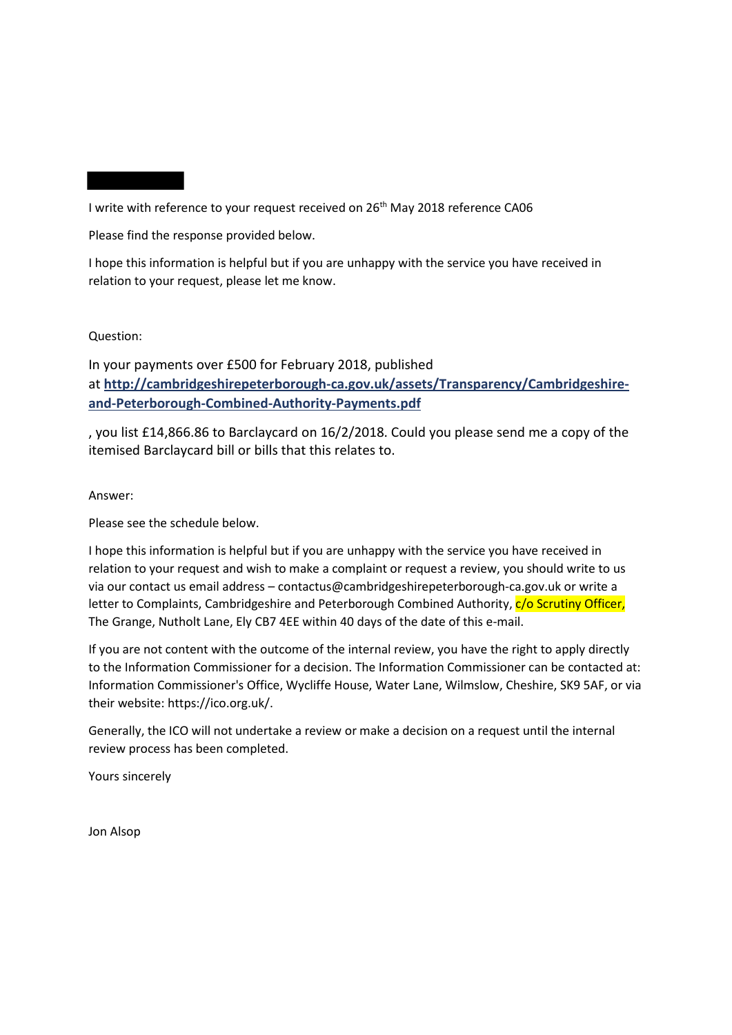I write with reference to your request received on 26<sup>th</sup> May 2018 reference CA06

Please find the response provided below.

I hope this information is helpful but if you are unhappy with the service you have received in relation to your request, please let me know.

Question:

In your payments over £500 for February 2018, published at **[http://cambridgeshirepeterborough-ca.gov.uk/assets/Transparency/Cambridgeshire](http://cambridgeshirepeterborough-ca.gov.uk/assets/Transparency/Cambridgeshire-and-Peterborough-Combined-Authority-Payments.pdf)[and-Peterborough-Combined-Authority-Payments.pdf](http://cambridgeshirepeterborough-ca.gov.uk/assets/Transparency/Cambridgeshire-and-Peterborough-Combined-Authority-Payments.pdf)**

, you list £14,866.86 to Barclaycard on 16/2/2018. Could you please send me a copy of the itemised Barclaycard bill or bills that this relates to.

Answer:

Please see the schedule below.

I hope this information is helpful but if you are unhappy with the service you have received in relation to your request and wish to make a complaint or request a review, you should write to us via our contact us email address – contactus@cambridgeshirepeterborough-ca.gov.uk or write a letter to Complaints, Cambridgeshire and Peterborough Combined Authority,  $c/o$  Scrutiny Officer, The Grange, Nutholt Lane, Ely CB7 4EE within 40 days of the date of this e-mail.

If you are not content with the outcome of the internal review, you have the right to apply directly to the Information Commissioner for a decision. The Information Commissioner can be contacted at: Information Commissioner's Office, Wycliffe House, Water Lane, Wilmslow, Cheshire, SK9 5AF, or via their website: https://ico.org.uk/.

Generally, the ICO will not undertake a review or make a decision on a request until the internal review process has been completed.

Yours sincerely

Jon Alsop